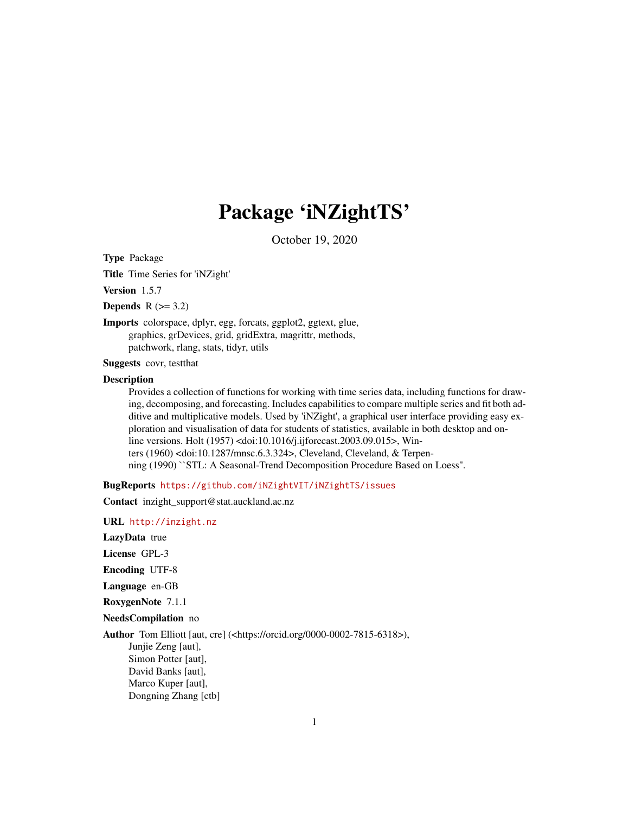# Package 'iNZightTS'

October 19, 2020

<span id="page-0-0"></span>Type Package

Title Time Series for 'iNZight'

Version 1.5.7

Depends  $R$  ( $>= 3.2$ )

Imports colorspace, dplyr, egg, forcats, ggplot2, ggtext, glue, graphics, grDevices, grid, gridExtra, magrittr, methods, patchwork, rlang, stats, tidyr, utils

Suggests covr, testthat

#### Description

Provides a collection of functions for working with time series data, including functions for drawing, decomposing, and forecasting. Includes capabilities to compare multiple series and fit both additive and multiplicative models. Used by 'iNZight', a graphical user interface providing easy exploration and visualisation of data for students of statistics, available in both desktop and online versions. Holt (1957) <doi:10.1016/j.ijforecast.2003.09.015>, Winters (1960) <doi:10.1287/mnsc.6.3.324>, Cleveland, Cleveland, & Terpenning (1990) ``STL: A Seasonal-Trend Decomposition Procedure Based on Loess''.

BugReports <https://github.com/iNZightVIT/iNZightTS/issues>

Contact inzight\_support@stat.auckland.ac.nz

URL <http://inzight.nz>

LazyData true

License GPL-3

Encoding UTF-8

Language en-GB

RoxygenNote 7.1.1

NeedsCompilation no

Author Tom Elliott [aut, cre] (<https://orcid.org/0000-0002-7815-6318>),

Junjie Zeng [aut], Simon Potter [aut], David Banks [aut], Marco Kuper [aut], Dongning Zhang [ctb]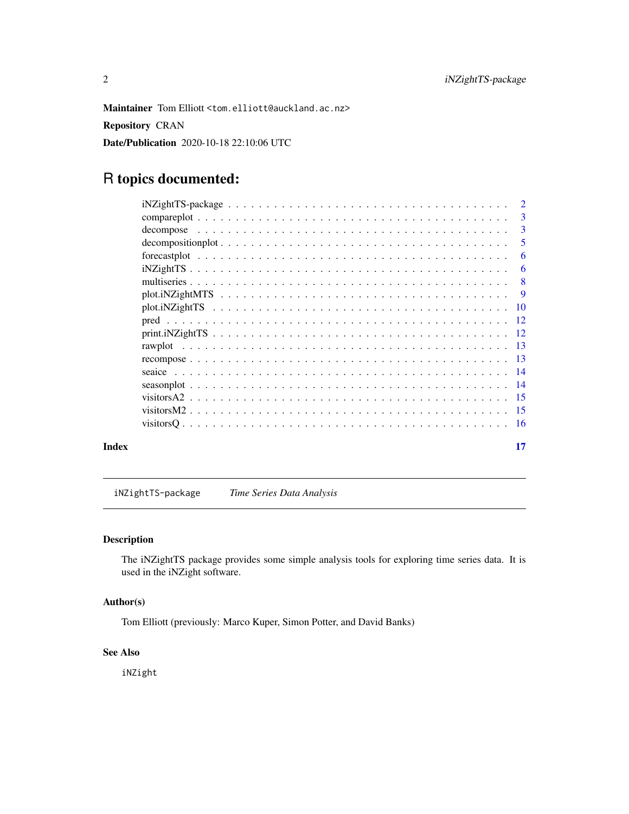<span id="page-1-0"></span>Maintainer Tom Elliott <tom.elliott@auckland.ac.nz>

Repository CRAN

Date/Publication 2020-10-18 22:10:06 UTC

# R topics documented:

|       | $\overline{\phantom{0}}$ 5 |
|-------|----------------------------|
|       |                            |
|       |                            |
|       |                            |
|       |                            |
|       |                            |
|       |                            |
|       |                            |
|       |                            |
|       |                            |
|       |                            |
|       |                            |
|       |                            |
|       |                            |
|       |                            |
| Index | 17                         |

iNZightTS-package *Time Series Data Analysis*

# Description

The iNZightTS package provides some simple analysis tools for exploring time series data. It is used in the iNZight software.

#### Author(s)

Tom Elliott (previously: Marco Kuper, Simon Potter, and David Banks)

#### See Also

iNZight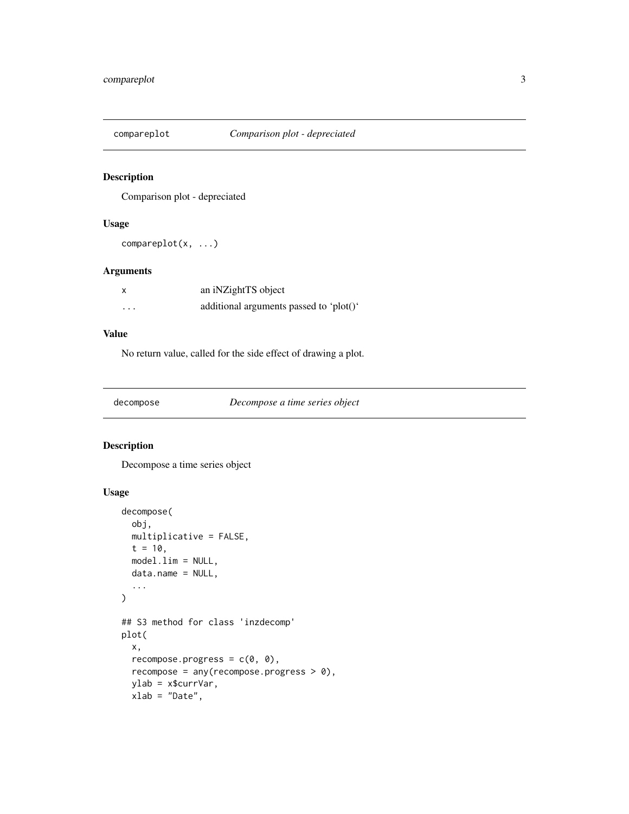<span id="page-2-0"></span>

Comparison plot - depreciated

# Usage

compareplot(x, ...)

# Arguments

| x | an iNZightTS object                     |
|---|-----------------------------------------|
| . | additional arguments passed to 'plot()' |

# Value

No return value, called for the side effect of drawing a plot.

decompose *Decompose a time series object*

# Description

Decompose a time series object

# Usage

```
decompose(
 obj,
 multiplicative = FALSE,
 t = 10,
 model.lim = NULL,
 data.name = NULL,
  ...
)
## S3 method for class 'inzdecomp'
plot(
 x,
  recompose.progress = c(\theta, \theta),
  recompose = any(recompose.progress > 0),
 ylab = x$currVar,
 xlab = "Date",
```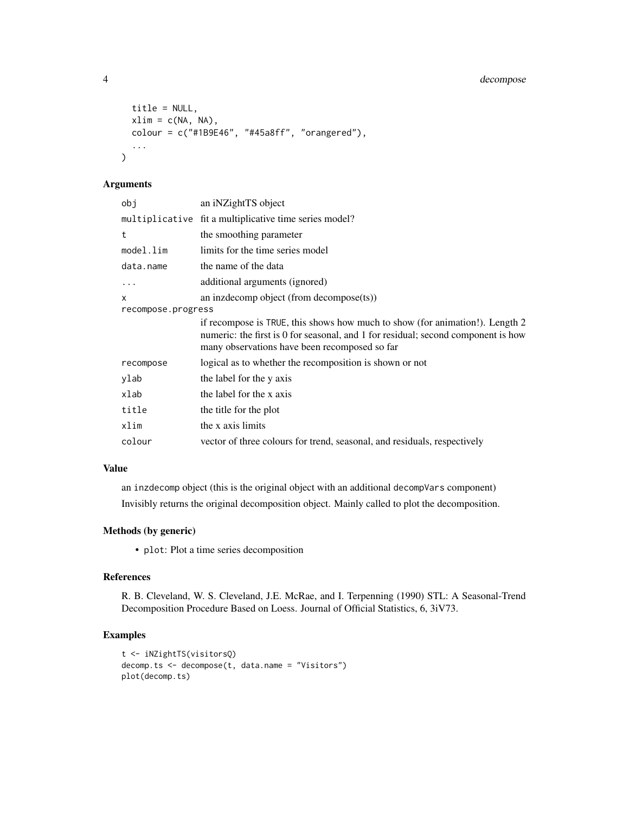# 4 decompose

```
title = NULL,
 xlim = c(NA, NA),
 colour = c("#1B9E46", "#45a8ff", "orangered"),...
\mathcal{L}
```
# Arguments

| obj                | an iNZightTS object                                                                                                                                                                                                |
|--------------------|--------------------------------------------------------------------------------------------------------------------------------------------------------------------------------------------------------------------|
|                    | multiplicative fit a multiplicative time series model?                                                                                                                                                             |
| t                  | the smoothing parameter                                                                                                                                                                                            |
| model.lim          | limits for the time series model                                                                                                                                                                                   |
| data.name          | the name of the data                                                                                                                                                                                               |
| $\ddots$           | additional arguments (ignored)                                                                                                                                                                                     |
| x                  | an inzdecomp object (from decompose(ts))                                                                                                                                                                           |
| recompose.progress |                                                                                                                                                                                                                    |
|                    | if recompose is TRUE, this shows how much to show (for animation!). Length 2<br>numeric: the first is 0 for seasonal, and 1 for residual; second component is how<br>many observations have been recomposed so far |
| recompose          | logical as to whether the recomposition is shown or not                                                                                                                                                            |
| ylab               | the label for the y axis                                                                                                                                                                                           |
| xlab               | the label for the x axis                                                                                                                                                                                           |
| title              | the title for the plot                                                                                                                                                                                             |
| xlim               | the x axis limits                                                                                                                                                                                                  |
| colour             | vector of three colours for trend, seasonal, and residuals, respectively                                                                                                                                           |

# Value

an inzdecomp object (this is the original object with an additional decompVars component) Invisibly returns the original decomposition object. Mainly called to plot the decomposition.

# Methods (by generic)

• plot: Plot a time series decomposition

#### References

R. B. Cleveland, W. S. Cleveland, J.E. McRae, and I. Terpenning (1990) STL: A Seasonal-Trend Decomposition Procedure Based on Loess. Journal of Official Statistics, 6, 3iV73.

# Examples

```
t <- iNZightTS(visitorsQ)
decomp.ts <- decompose(t, data.name = "Visitors")
plot(decomp.ts)
```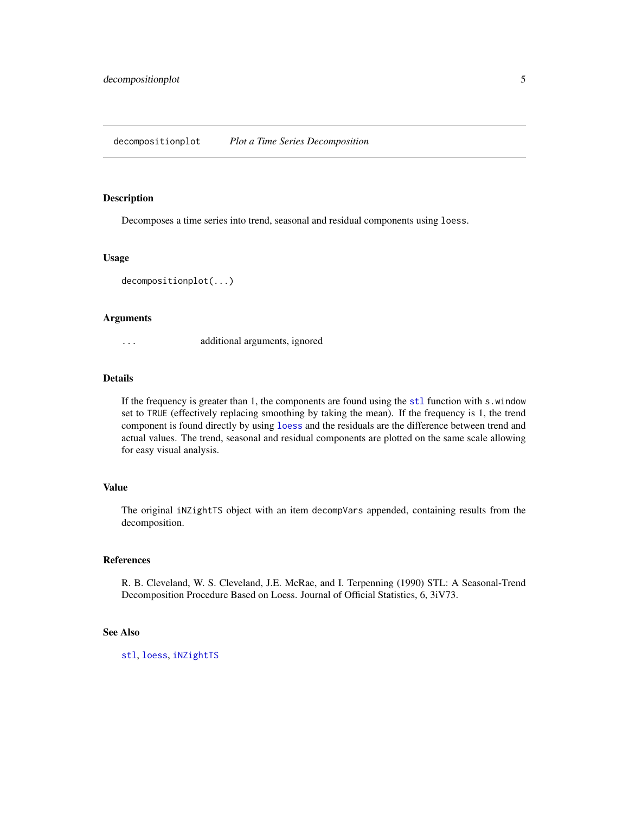<span id="page-4-0"></span>Decomposes a time series into trend, seasonal and residual components using loess.

#### Usage

```
decompositionplot(...)
```
#### Arguments

... additional arguments, ignored

#### Details

If the frequency is greater than 1, the components are found using the [stl](#page-0-0) function with s.window set to TRUE (effectively replacing smoothing by taking the mean). If the frequency is 1, the trend component is found directly by using [loess](#page-0-0) and the residuals are the difference between trend and actual values. The trend, seasonal and residual components are plotted on the same scale allowing for easy visual analysis.

#### Value

The original iNZightTS object with an item decompVars appended, containing results from the decomposition.

#### References

R. B. Cleveland, W. S. Cleveland, J.E. McRae, and I. Terpenning (1990) STL: A Seasonal-Trend Decomposition Procedure Based on Loess. Journal of Official Statistics, 6, 3iV73.

#### See Also

[stl](#page-0-0), [loess](#page-0-0), [iNZightTS](#page-5-1)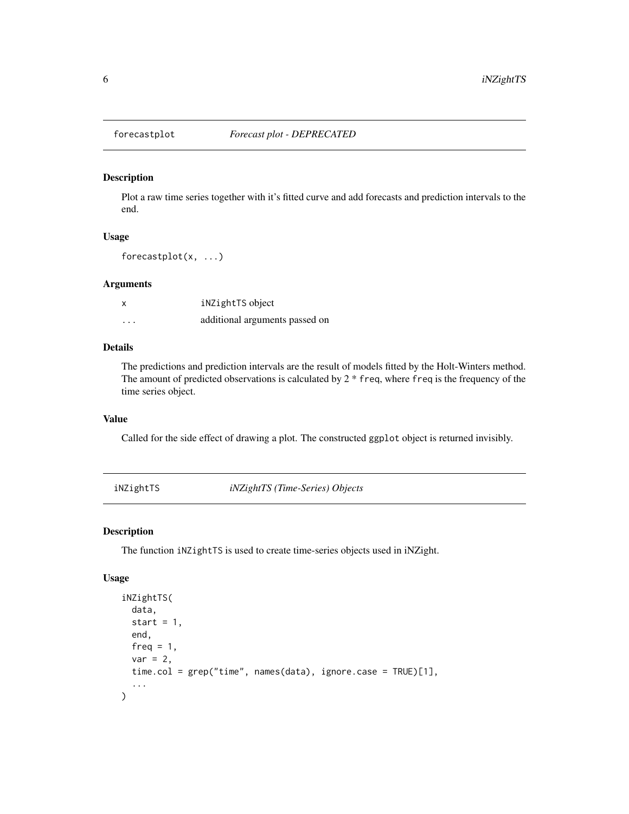<span id="page-5-0"></span>

Plot a raw time series together with it's fitted curve and add forecasts and prediction intervals to the end.

# Usage

forecastplot(x, ...)

#### Arguments

| x       | iNZightTS object               |
|---------|--------------------------------|
| $\cdot$ | additional arguments passed on |

#### Details

The predictions and prediction intervals are the result of models fitted by the Holt-Winters method. The amount of predicted observations is calculated by  $2 *$  freq, where freq is the frequency of the time series object.

# Value

Called for the side effect of drawing a plot. The constructed ggplot object is returned invisibly.

<span id="page-5-1"></span>iNZightTS *iNZightTS (Time-Series) Objects*

#### Description

The function iNZightTS is used to create time-series objects used in iNZight.

#### Usage

```
iNZightTS(
  data,
  start = 1,end,
  freq = 1,
  var = 2,
  time.col = grep("time", names(data), ignore.case = TRUE)[1],
  ...
\mathcal{E}
```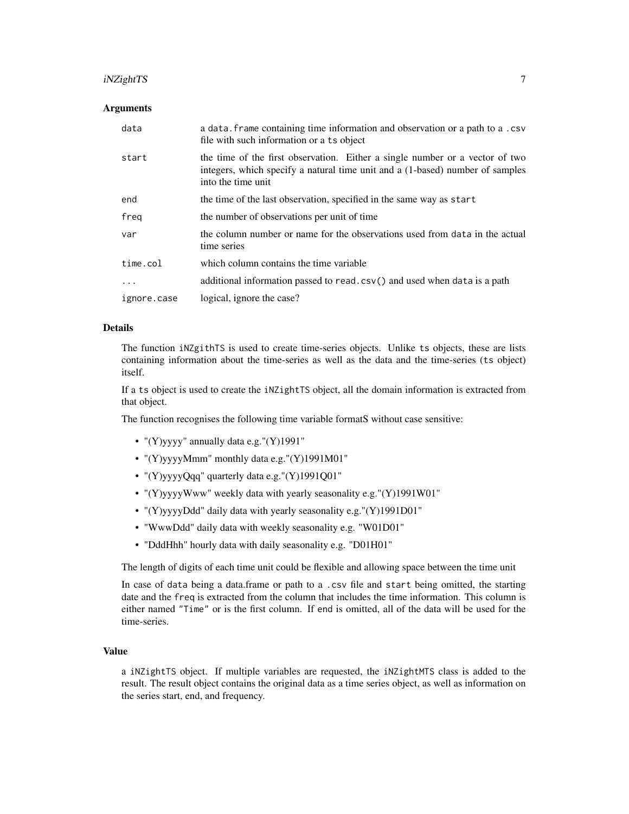#### iNZightTS 7

#### Arguments

| data        | a data. Frame containing time information and observation or a path to a .csv<br>file with such information or a ts object                                                          |
|-------------|-------------------------------------------------------------------------------------------------------------------------------------------------------------------------------------|
| start       | the time of the first observation. Either a single number or a vector of two<br>integers, which specify a natural time unit and a (1-based) number of samples<br>into the time unit |
| end         | the time of the last observation, specified in the same way as start                                                                                                                |
| freg        | the number of observations per unit of time                                                                                                                                         |
| var         | the column number or name for the observations used from data in the actual<br>time series                                                                                          |
| time.col    | which column contains the time variable                                                                                                                                             |
| $\ddotsc$   | additional information passed to read.csv() and used when data is a path                                                                                                            |
| ignore.case | logical, ignore the case?                                                                                                                                                           |

#### Details

The function iNZgithTS is used to create time-series objects. Unlike ts objects, these are lists containing information about the time-series as well as the data and the time-series (ts object) itself.

If a ts object is used to create the iNZightTS object, all the domain information is extracted from that object.

The function recognises the following time variable formatS without case sensitive:

- "(Y)yyyy" annually data e.g."(Y)1991"
- "(Y)yyyyMmm" monthly data e.g."(Y)1991M01"
- "(Y)yyyyQqq" quarterly data e.g."(Y)1991Q01"
- "(Y)yyyyWww" weekly data with yearly seasonality e.g."(Y)1991W01"
- "(Y)yyyyDdd" daily data with yearly seasonality e.g."(Y)1991D01"
- "WwwDdd" daily data with weekly seasonality e.g. "W01D01"
- "DddHhh" hourly data with daily seasonality e.g. "D01H01"

The length of digits of each time unit could be flexible and allowing space between the time unit

In case of data being a data.frame or path to a .csv file and start being omitted, the starting date and the freq is extracted from the column that includes the time information. This column is either named "Time" or is the first column. If end is omitted, all of the data will be used for the time-series.

#### Value

a iNZightTS object. If multiple variables are requested, the iNZightMTS class is added to the result. The result object contains the original data as a time series object, as well as information on the series start, end, and frequency.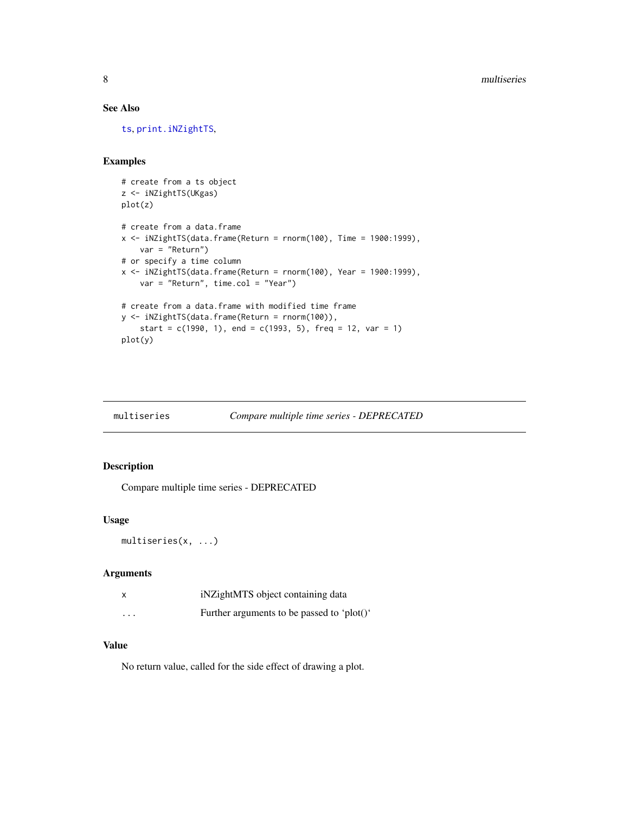### <span id="page-7-0"></span>See Also

[ts](#page-0-0), [print.iNZightTS](#page-11-1),

#### Examples

```
# create from a ts object
z <- iNZightTS(UKgas)
plot(z)
# create from a data.frame
x \le -1 iNZightTS(data.frame(Return = rnorm(100), Time = 1900:1999),
   var = "Return")
# or specify a time column
x \le -iNZightTS(data.frame(Return = rnorm(100), Year = 1900:1999),
   var = "Return", time.col = "Year")
# create from a data.frame with modified time frame
y <- iNZightTS(data.frame(Return = rnorm(100)),
    start = c(1990, 1), end = c(1993, 5), freq = 12, var = 1)
plot(y)
```

| Compare multiple time series - DEPRECATED<br>multiseries |  |
|----------------------------------------------------------|--|
|----------------------------------------------------------|--|

#### Description

Compare multiple time series - DEPRECATED

#### Usage

multiseries(x, ...)

#### Arguments

|          | iNZightMTS object containing data          |
|----------|--------------------------------------------|
| $\cdots$ | Further arguments to be passed to 'plot()' |

#### Value

No return value, called for the side effect of drawing a plot.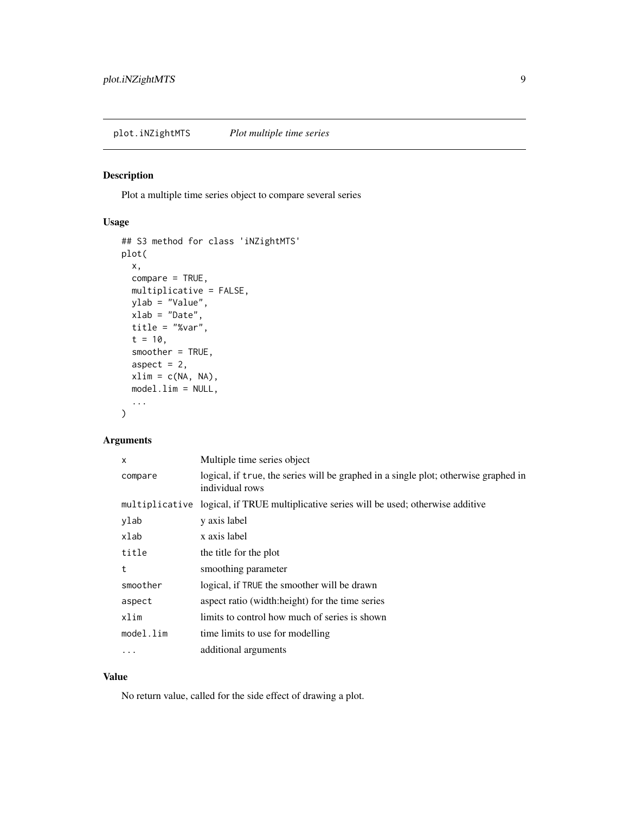<span id="page-8-0"></span>plot.iNZightMTS *Plot multiple time series*

# Description

Plot a multiple time series object to compare several series

# Usage

```
## S3 method for class 'iNZightMTS'
plot(
 x,
 compare = TRUE,
 multiplicative = FALSE,
 ylab = "Value",
 xlab = "Date",
  title = "%var",
  t = 10,
  smoother = TRUE,
  aspect = 2,
 xlim = c(NA, NA),
 model.lim = NULL,
  ...
)
```
# Arguments

| x         | Multiple time series object                                                                            |
|-----------|--------------------------------------------------------------------------------------------------------|
| compare   | logical, if true, the series will be graphed in a single plot; otherwise graphed in<br>individual rows |
|           | multiplicative logical, if TRUE multiplicative series will be used; otherwise additive                 |
| ylab      | y axis label                                                                                           |
| xlab      | x axis label                                                                                           |
| title     | the title for the plot                                                                                 |
| t         | smoothing parameter                                                                                    |
| smoother  | logical, if TRUE the smoother will be drawn                                                            |
| aspect    | aspect ratio (width:height) for the time series                                                        |
| xlim      | limits to control how much of series is shown                                                          |
| model.lim | time limits to use for modelling                                                                       |
| .         | additional arguments                                                                                   |

#### Value

No return value, called for the side effect of drawing a plot.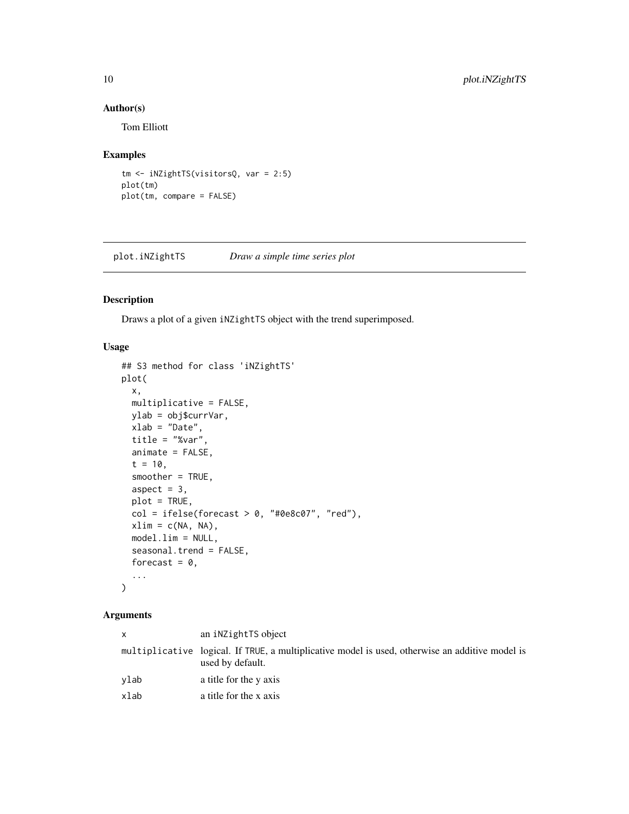#### Author(s)

Tom Elliott

#### Examples

```
tm <- iNZightTS(visitorsQ, var = 2:5)
plot(tm)
plot(tm, compare = FALSE)
```
plot.iNZightTS *Draw a simple time series plot*

# Description

Draws a plot of a given iNZightTS object with the trend superimposed.

#### Usage

```
## S3 method for class 'iNZightTS'
plot(
 x,
 multiplicative = FALSE,
 ylab = obj$currVar,
 xlab = "Date",
  title = "%var",
  animate = FALSE,
  t = 10,
  smoother = TRUE,
  aspect = 3,
 plot = TRUE,
 col = ifelse(forecast > 0, "#0e8c07", "red"),xlim = c(NA, NA),
 model.lim = NULL,
  seasonal.trend = FALSE,
 forecast = 0,
  ...
)
```
# Arguments

| X    | an inZightTS object                                                                                                 |
|------|---------------------------------------------------------------------------------------------------------------------|
|      | multiplicative logical. If TRUE, a multiplicative model is used, otherwise an additive model is<br>used by default. |
| ylab | a title for the y axis                                                                                              |
| xlab | a title for the x axis                                                                                              |

<span id="page-9-0"></span>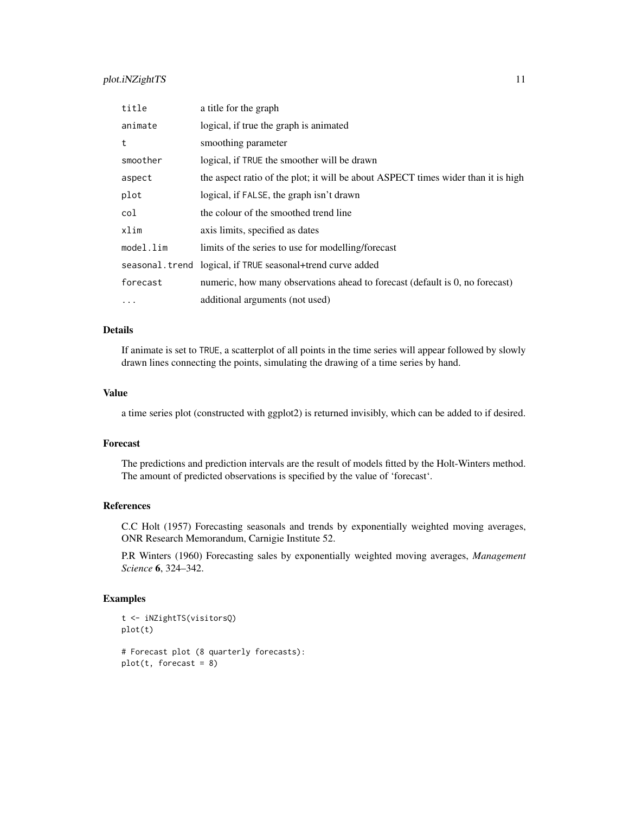# plot.iNZightTS 11

| title     | a title for the graph                                                             |
|-----------|-----------------------------------------------------------------------------------|
| animate   | logical, if true the graph is animated                                            |
| t         | smoothing parameter                                                               |
| smoother  | logical, if TRUE the smoother will be drawn                                       |
| aspect    | the aspect ratio of the plot; it will be about ASPECT times wider than it is high |
| plot      | logical, if FALSE, the graph isn't drawn                                          |
| col       | the colour of the smoothed trend line                                             |
| xlim      | axis limits, specified as dates                                                   |
| model.lim | limits of the series to use for modelling/forecast                                |
|           | seasonal.trend logical, if TRUE seasonal+trend curve added                        |
| forecast  | numeric, how many observations ahead to forecast (default is 0, no forecast)      |
| $\cdots$  | additional arguments (not used)                                                   |

### Details

If animate is set to TRUE, a scatterplot of all points in the time series will appear followed by slowly drawn lines connecting the points, simulating the drawing of a time series by hand.

#### Value

a time series plot (constructed with ggplot2) is returned invisibly, which can be added to if desired.

#### Forecast

The predictions and prediction intervals are the result of models fitted by the Holt-Winters method. The amount of predicted observations is specified by the value of 'forecast'.

# References

C.C Holt (1957) Forecasting seasonals and trends by exponentially weighted moving averages, ONR Research Memorandum, Carnigie Institute 52.

P.R Winters (1960) Forecasting sales by exponentially weighted moving averages, *Management Science* 6, 324–342.

# Examples

```
t <- iNZightTS(visitorsQ)
plot(t)
# Forecast plot (8 quarterly forecasts):
plot(t, forest = 8)
```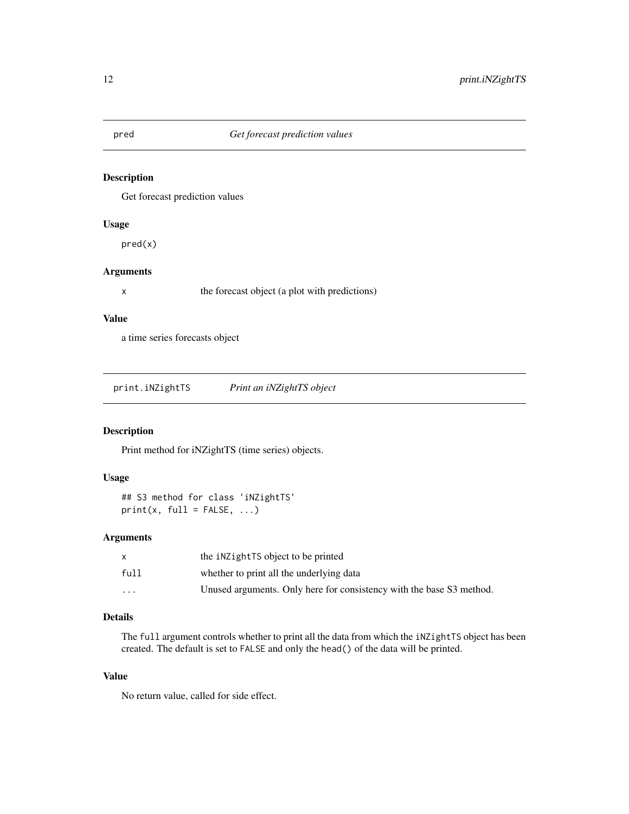<span id="page-11-0"></span>

Get forecast prediction values

#### Usage

pred(x)

#### Arguments

x the forecast object (a plot with predictions)

#### Value

a time series forecasts object

<span id="page-11-1"></span>

| print.iNZightTS | Print an iNZightTS object |
|-----------------|---------------------------|
|                 |                           |

# Description

Print method for iNZightTS (time series) objects.

#### Usage

```
## S3 method for class 'iNZightTS'
print(x, full = FALSE, ...)
```
#### Arguments

|          | the inetaktional interest to be printed                              |
|----------|----------------------------------------------------------------------|
| full     | whether to print all the underlying data                             |
| $\cdots$ | Unused arguments. Only here for consistency with the base S3 method. |

# Details

The full argument controls whether to print all the data from which the iNZightTS object has been created. The default is set to FALSE and only the head() of the data will be printed.

#### Value

No return value, called for side effect.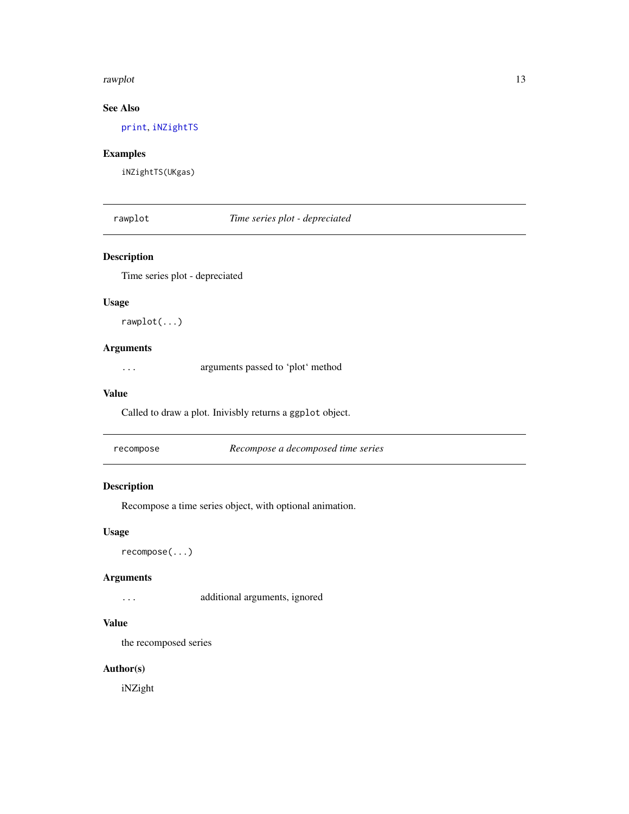#### <span id="page-12-0"></span>rawplot that the contract of the contract of the contract of the contract of the contract of the contract of the contract of the contract of the contract of the contract of the contract of the contract of the contract of t

# See Also

[print](#page-0-0), [iNZightTS](#page-5-1)

# Examples

iNZightTS(UKgas)

# rawplot *Time series plot - depreciated*

# Description

Time series plot - depreciated

#### Usage

rawplot(...)

# Arguments

... arguments passed to 'plot' method

#### Value

Called to draw a plot. Inivisbly returns a ggplot object.

| recompose | Recompose a decomposed time series |
|-----------|------------------------------------|
|-----------|------------------------------------|

# Description

Recompose a time series object, with optional animation.

#### Usage

recompose(...)

#### Arguments

... additional arguments, ignored

#### Value

the recomposed series

# Author(s)

iNZight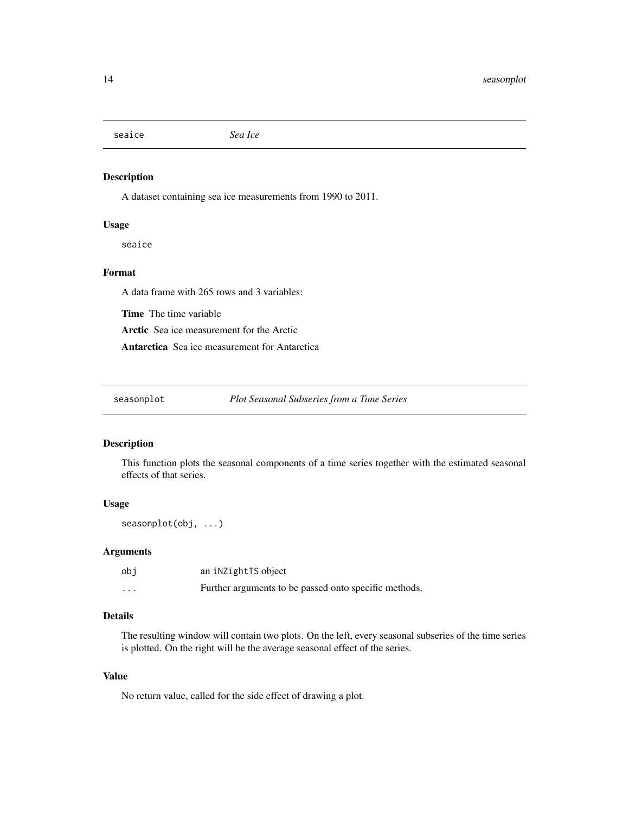<span id="page-13-0"></span>seaice *Sea Ice*

# Description

A dataset containing sea ice measurements from 1990 to 2011.

#### Usage

seaice

### Format

A data frame with 265 rows and 3 variables:

Time The time variable

Arctic Sea ice measurement for the Arctic

Antarctica Sea ice measurement for Antarctica

seasonplot *Plot Seasonal Subseries from a Time Series*

#### Description

This function plots the seasonal components of a time series together with the estimated seasonal effects of that series.

#### Usage

seasonplot(obj, ...)

#### Arguments

| obi      | an inZightTS object                                   |
|----------|-------------------------------------------------------|
| $\cdots$ | Further arguments to be passed onto specific methods. |

# Details

The resulting window will contain two plots. On the left, every seasonal subseries of the time series is plotted. On the right will be the average seasonal effect of the series.

#### Value

No return value, called for the side effect of drawing a plot.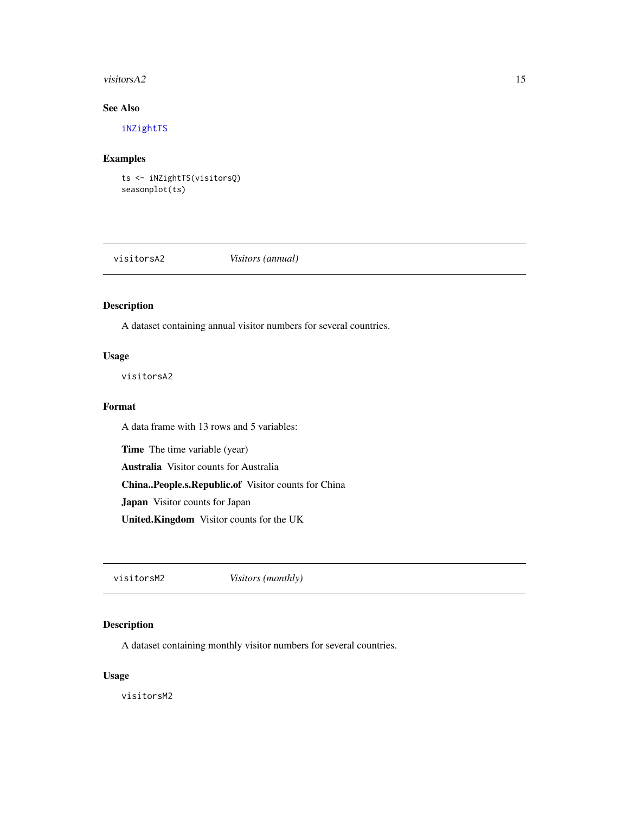#### <span id="page-14-0"></span>visitors $A2$  15

# See Also

[iNZightTS](#page-5-1)

# Examples

ts <- iNZightTS(visitorsQ) seasonplot(ts)

visitorsA2 *Visitors (annual)*

# Description

A dataset containing annual visitor numbers for several countries.

# Usage

visitorsA2

#### Format

A data frame with 13 rows and 5 variables:

Time The time variable (year)

Australia Visitor counts for Australia

China..People.s.Republic.of Visitor counts for China

Japan Visitor counts for Japan

United.Kingdom Visitor counts for the UK

visitorsM2 *Visitors (monthly)*

# Description

A dataset containing monthly visitor numbers for several countries.

#### Usage

visitorsM2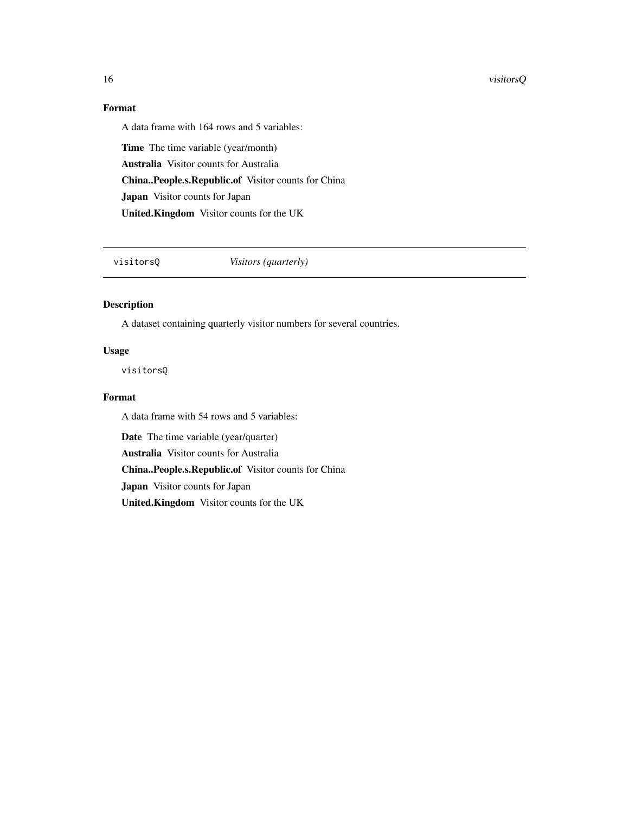#### <span id="page-15-0"></span>16 visitorsQ

# Format

A data frame with 164 rows and 5 variables:

Time The time variable (year/month) Australia Visitor counts for Australia China..People.s.Republic.of Visitor counts for China Japan Visitor counts for Japan United.Kingdom Visitor counts for the UK

visitorsQ *Visitors (quarterly)*

# Description

A dataset containing quarterly visitor numbers for several countries.

#### Usage

visitorsQ

# Format

A data frame with 54 rows and 5 variables:

Date The time variable (year/quarter)

Australia Visitor counts for Australia

China..People.s.Republic.of Visitor counts for China

Japan Visitor counts for Japan

United.Kingdom Visitor counts for the UK